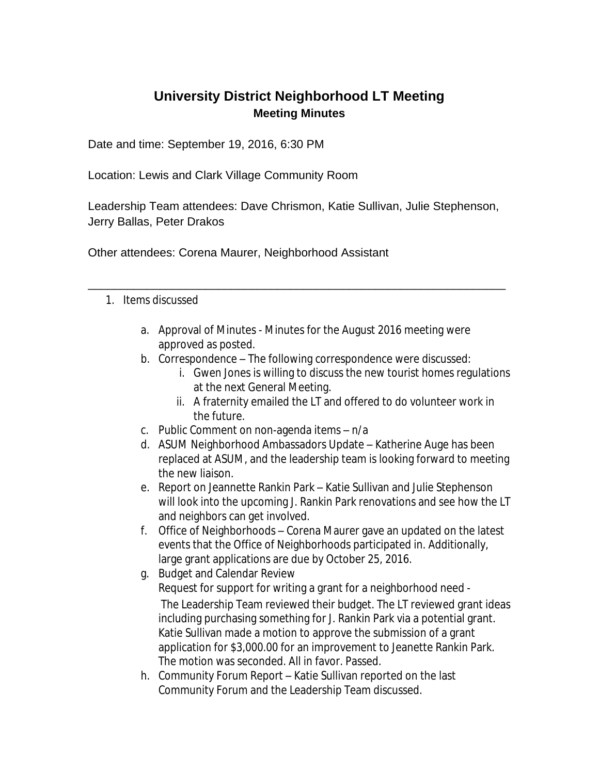## **University District Neighborhood LT Meeting Meeting Minutes**

Date and time: September 19, 2016, 6:30 PM

Location: Lewis and Clark Village Community Room

Leadership Team attendees: Dave Chrismon, Katie Sullivan, Julie Stephenson, Jerry Ballas, Peter Drakos

\_\_\_\_\_\_\_\_\_\_\_\_\_\_\_\_\_\_\_\_\_\_\_\_\_\_\_\_\_\_\_\_\_\_\_\_\_\_\_\_\_\_\_\_\_\_\_\_\_\_\_\_\_\_\_\_\_\_\_\_\_\_\_\_

Other attendees: Corena Maurer, Neighborhood Assistant

## 1. Items discussed

- a. Approval of Minutes Minutes for the August 2016 meeting were approved as posted.
- b. Correspondence The following correspondence were discussed:
	- i. Gwen Jones is willing to discuss the new tourist homes regulations at the next General Meeting.
	- ii. A fraternity emailed the LT and offered to do volunteer work in the future.
- c. Public Comment on non-agenda items n/a
- d. ASUM Neighborhood Ambassadors Update Katherine Auge has been replaced at ASUM, and the leadership team is looking forward to meeting the new liaison.
- e. Report on Jeannette Rankin Park Katie Sullivan and Julie Stephenson will look into the upcoming J. Rankin Park renovations and see how the LT and neighbors can get involved.
- f. Office of Neighborhoods Corena Maurer gave an updated on the latest events that the Office of Neighborhoods participated in. Additionally, large grant applications are due by October 25, 2016.
- g. Budget and Calendar Review Request for support for writing a grant for a neighborhood need - The Leadership Team reviewed their budget. The LT reviewed grant ideas including purchasing something for J. Rankin Park via a potential grant. Katie Sullivan made a motion to approve the submission of a grant application for \$3,000.00 for an improvement to Jeanette Rankin Park. The motion was seconded. All in favor. Passed.
- h. Community Forum Report Katie Sullivan reported on the last Community Forum and the Leadership Team discussed.